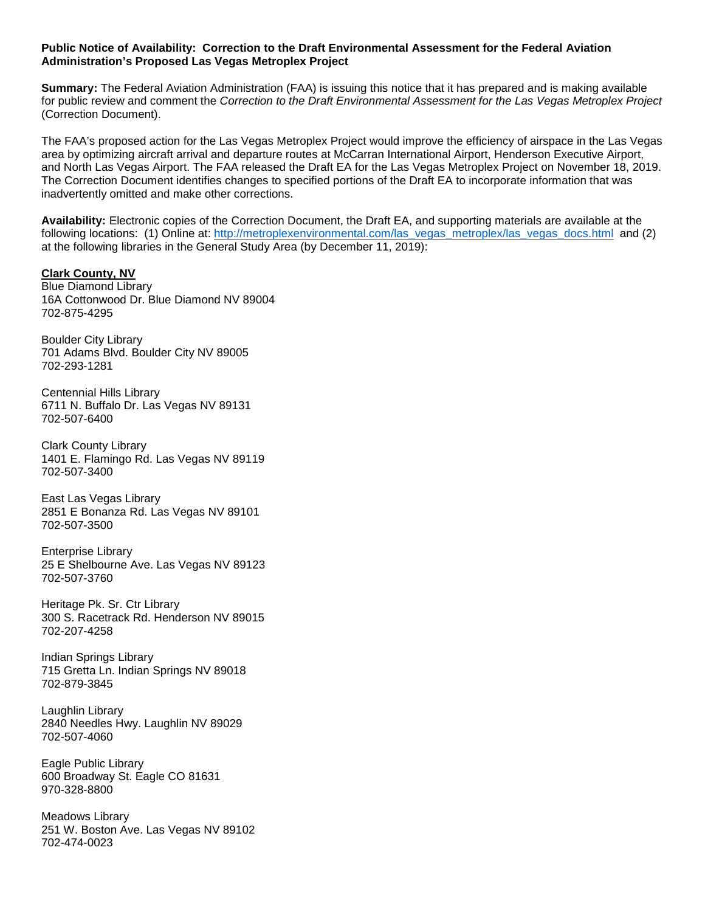## **Public Notice of Availability: Correction to the Draft Environmental Assessment for the Federal Aviation Administration's Proposed Las Vegas Metroplex Project**

**Summary:** The Federal Aviation Administration (FAA) is issuing this notice that it has prepared and is making available for public review and comment the *Correction to the Draft Environmental Assessment for the Las Vegas Metroplex Project* (Correction Document).

The FAA's proposed action for the Las Vegas Metroplex Project would improve the efficiency of airspace in the Las Vegas area by optimizing aircraft arrival and departure routes at McCarran International Airport, Henderson Executive Airport, and North Las Vegas Airport. The FAA released the Draft EA for the Las Vegas Metroplex Project on November 18, 2019. The Correction Document identifies changes to specified portions of the Draft EA to incorporate information that was inadvertently omitted and make other corrections.

**Availability:** Electronic copies of the Correction Document, the Draft EA, and supporting materials are available at the following locations: (1) Online at: [http://metroplexenvironmental.com/las\\_vegas\\_metroplex/las\\_vegas\\_docs.html](http://metroplexenvironmental.com/las_vegas_metroplex/las_vegas_docs.html) and (2) at the following libraries in the General Study Area (by December 11, 2019):

# **Clark County, NV**

Blue Diamond Library 16A Cottonwood Dr. Blue Diamond NV 89004 702-875-4295

Boulder City Library 701 Adams Blvd. Boulder City NV 89005 702-293-1281

Centennial Hills Library 6711 N. Buffalo Dr. Las Vegas NV 89131 702-507-6400

Clark County Library 1401 E. Flamingo Rd. Las Vegas NV 89119 702-507-3400

East Las Vegas Library 2851 E Bonanza Rd. Las Vegas NV 89101 702-507-3500

Enterprise Library 25 E Shelbourne Ave. Las Vegas NV 89123 702-507-3760

Heritage Pk. Sr. Ctr Library 300 S. Racetrack Rd. Henderson NV 89015 702-207-4258

Indian Springs Library 715 Gretta Ln. Indian Springs NV 89018 702-879-3845

Laughlin Library 2840 Needles Hwy. Laughlin NV 89029 702-507-4060

Eagle Public Library 600 Broadway St. Eagle CO 81631 970-328-8800

Meadows Library 251 W. Boston Ave. Las Vegas NV 89102 702-474-0023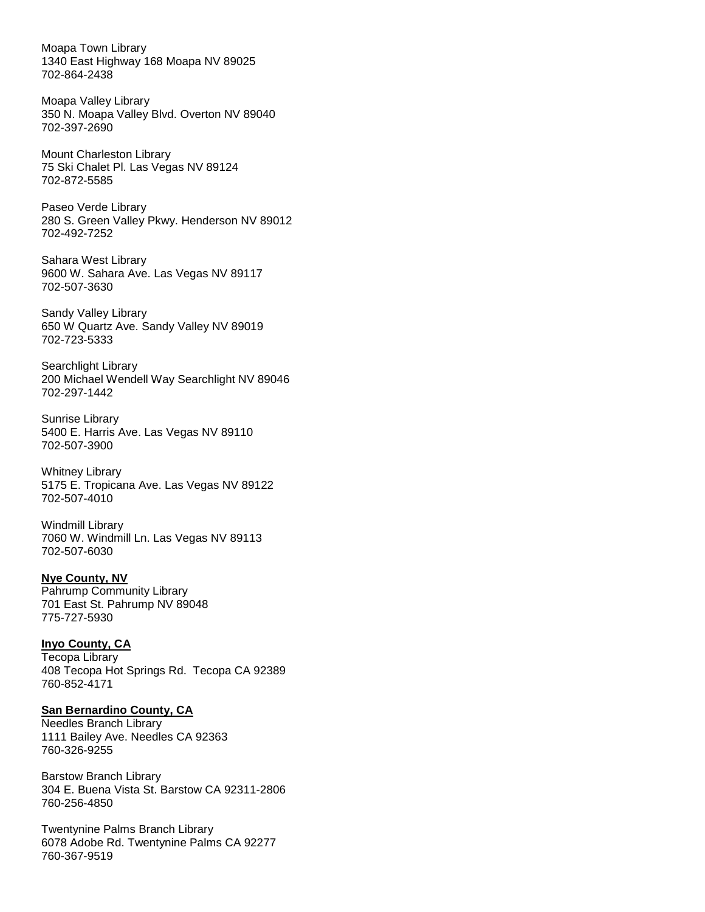Moapa Town Library 1340 East Highway 168 Moapa NV 89025 702-864-2438

Moapa Valley Library 350 N. Moapa Valley Blvd. Overton NV 89040 702-397-2690

Mount Charleston Library 75 Ski Chalet Pl. Las Vegas NV 89124 702-872-5585

Paseo Verde Library 280 S. Green Valley Pkwy. Henderson NV 89012 702-492-7252

Sahara West Library 9600 W. Sahara Ave. Las Vegas NV 89117 702-507-3630

Sandy Valley Library 650 W Quartz Ave. Sandy Valley NV 89019 702-723-5333

Searchlight Library 200 Michael Wendell Way Searchlight NV 89046 702-297-1442

Sunrise Library 5400 E. Harris Ave. Las Vegas NV 89110 702-507-3900

Whitney Library 5175 E. Tropicana Ave. Las Vegas NV 89122 702-507-4010

Windmill Library 7060 W. Windmill Ln. Las Vegas NV 89113 702-507-6030

# **Nye County, NV**

Pahrump Community Library 701 East St. Pahrump NV 89048 775-727-5930

#### **Inyo County, CA**

Tecopa Library 408 Tecopa Hot Springs Rd. Tecopa CA 92389 760-852-4171

## **San Bernardino County, CA**

Needles Branch Library 1111 Bailey Ave. Needles CA 92363 760-326-9255

Barstow Branch Library 304 E. Buena Vista St. Barstow CA 92311-2806 760-256-4850

Twentynine Palms Branch Library 6078 Adobe Rd. Twentynine Palms CA 92277 760-367-9519